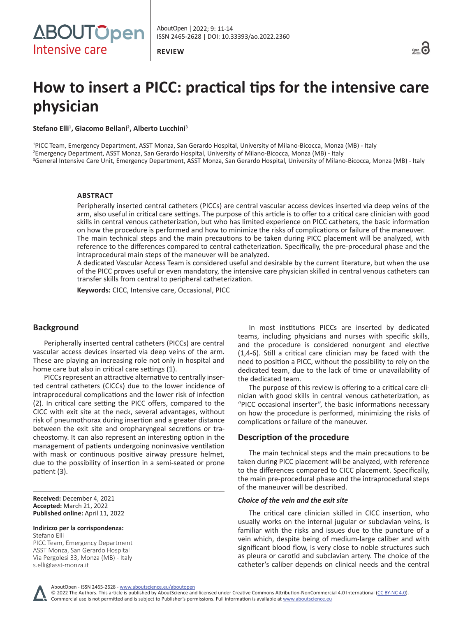**REVIEW**



# **How to insert a PICC: practical tips for the intensive care physician**

**Stefano Elli<sup>1</sup> , Giacomo Bellani<sup>2</sup> , Alberto Lucchini<sup>3</sup>**

1 PICC Team, Emergency Department, ASST Monza, San Gerardo Hospital, University of Milano-Bicocca, Monza (MB) - Italy 2 Emergency Department, ASST Monza, San Gerardo Hospital, University of Milano-Bicocca, Monza (MB) - Italy 3 General Intensive Care Unit, Emergency Department, ASST Monza, San Gerardo Hospital, University of Milano-Bicocca, Monza (MB) - Italy

## **ABSTRACT**

Peripherally inserted central catheters (PICCs) are central vascular access devices inserted via deep veins of the arm, also useful in critical care settings. The purpose of this article is to offer to a critical care clinician with good skills in central venous catheterization, but who has limited experience on PICC catheters, the basic information on how the procedure is performed and how to minimize the risks of complications or failure of the maneuver. The main technical steps and the main precautions to be taken during PICC placement will be analyzed, with reference to the differences compared to central catheterization. Specifically, the pre-procedural phase and the intraprocedural main steps of the maneuver will be analyzed.

A dedicated Vascular Access Team is considered useful and desirable by the current literature, but when the use of the PICC proves useful or even mandatory, the intensive care physician skilled in central venous catheters can transfer skills from central to peripheral catheterization.

**Keywords:** CICC, Intensive care, Occasional, PICC

# **Background**

Peripherally inserted central catheters (PICCs) are central vascular access devices inserted via deep veins of the arm. These are playing an increasing role not only in hospital and home care but also in critical care settings (1).

PICCs represent an attractive alternative to centrally inserted central catheters (CICCs) due to the lower incidence of intraprocedural complications and the lower risk of infection (2). In critical care setting the PICC offers, compared to the CICC with exit site at the neck, several advantages, without risk of pneumothorax during insertion and a greater distance between the exit site and oropharyngeal secretions or tracheostomy. It can also represent an interesting option in the management of patients undergoing noninvasive ventilation with mask or continuous positive airway pressure helmet, due to the possibility of insertion in a semi-seated or prone patient (3).

**Received:** December 4, 2021 **Accepted:** March 21, 2022 **Published online:** April 11, 2022

**Indirizzo per la corrispondenza:** Stefano Elli

PICC Team, Emergency Department ASST Monza, San Gerardo Hospital Via Pergolesi 33, Monza (MB) - Italy [s.elli@asst-monza.it](mailto:s.elli@asst-monza.it)

In most institutions PICCs are inserted by dedicated teams, including physicians and nurses with specific skills, and the procedure is considered nonurgent and elective (1,4-6). Still a critical care clinician may be faced with the need to position a PICC, without the possibility to rely on the dedicated team, due to the lack of time or unavailability of the dedicated team.

The purpose of this review is offering to a critical care clinician with good skills in central venous catheterization, as "PICC occasional inserter", the basic informations necessary on how the procedure is performed, minimizing the risks of complications or failure of the maneuver.

# **Description of the procedure**

The main technical steps and the main precautions to be taken during PICC placement will be analyzed, with reference to the differences compared to CICC placement. Specifically, the main pre-procedural phase and the intraprocedural steps of the maneuver will be described.

#### *Choice of the vein and the exit site*

The critical care clinician skilled in CICC insertion, who usually works on the internal jugular or subclavian veins, is familiar with the risks and issues due to the puncture of a vein which, despite being of medium-large caliber and with significant blood flow, is very close to noble structures such as pleura or carotid and subclavian artery. The choice of the catheter's caliber depends on clinical needs and the central

AboutOpen - ISSN 2465-2628 - www.aboutscience.eu/aboutopen

© 2022 The Authors. This article is published by AboutScience and licensed under Creative Commons Attribution-NonCommercial 4.0 International ([CC BY-NC 4.0](https://creativecommons.org/licenses/by-nc/4.0/legalcode)). Commercial use is not permitted and is subject to Publisher's permissions. Full information is available at www.aboutscience.eu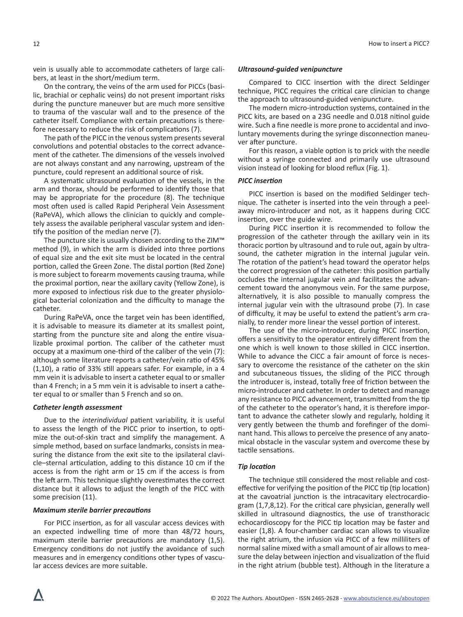vein is usually able to accommodate catheters of large calibers, at least in the short/medium term.

On the contrary, the veins of the arm used for PICCs (basilic, brachial or cephalic veins) do not present important risks during the puncture maneuver but are much more sensitive to trauma of the vascular wall and to the presence of the catheter itself. Compliance with certain precautions is therefore necessary to reduce the risk of complications (7).

The path of the PICC in the venous system presents several convolutions and potential obstacles to the correct advancement of the catheter. The dimensions of the vessels involved are not always constant and any narrowing, upstream of the puncture, could represent an additional source of risk.

A systematic ultrasound evaluation of the vessels, in the arm and thorax, should be performed to identify those that may be appropriate for the procedure (8). The technique most often used is called Rapid Peripheral Vein Assessment (RaPeVA), which allows the clinician to quickly and completely assess the available peripheral vascular system and identify the position of the median nerve (7).

The puncture site is usually chosen according to the ZIM™ method (9), in which the arm is divided into three portions of equal size and the exit site must be located in the central portion, called the Green Zone. The distal portion (Red Zone) is more subject to forearm movements causing trauma, while the proximal portion, near the axillary cavity (Yellow Zone), is more exposed to infectious risk due to the greater physiological bacterial colonization and the difficulty to manage the catheter.

During RaPeVA, once the target vein has been identified, it is advisable to measure its diameter at its smallest point, starting from the puncture site and along the entire visualizable proximal portion. The caliber of the catheter must occupy at a maximum one-third of the caliber of the vein (7): although some literature reports a catheter/vein ratio of 45% (1,10), a ratio of 33% still appears safer. For example, in a 4 mm vein it is advisable to insert a catheter equal to or smaller than 4 French; in a 5 mm vein it is advisable to insert a catheter equal to or smaller than 5 French and so on.

# *Catheter length assessment*

Due to the *interindividual* patient variability, it is useful to assess the length of the PICC prior to insertion, to optimize the out-of-skin tract and simplify the management. A simple method, based on surface landmarks, consists in measuring the distance from the exit site to the ipsilateral clavicle–sternal articulation, adding to this distance 10 cm if the access is from the right arm or 15 cm if the access is from the left arm. This technique slightly overestimates the correct distance but it allows to adjust the length of the PICC with some precision (11).

#### *Maximum sterile barrier precautions*

For PICC insertion, as for all vascular access devices with an expected indwelling time of more than 48/72 hours, maximum sterile barrier precautions are mandatory (1,5). Emergency conditions do not justify the avoidance of such measures and in emergency conditions other types of vascular access devices are more suitable.

#### *Ultrasound-guided venipuncture*

Compared to CICC insertion with the direct Seldinger technique, PICC requires the critical care clinician to change the approach to ultrasound-guided venipuncture.

The modern micro-introduction systems, contained in the PICC kits, are based on a 23G needle and 0.018 nitinol guide wire. Such a fine needle is more prone to accidental and involuntary movements during the syringe disconnection maneuver after puncture.

For this reason, a viable option is to prick with the needle without a syringe connected and primarily use ultrasound vision instead of looking for blood reflux (Fig. 1).

#### *PICC insertion*

PICC insertion is based on the modified Seldinger technique. The catheter is inserted into the vein through a peelaway micro-introducer and not, as it happens during CICC insertion, over the guide wire.

During PICC insertion it is recommended to follow the progression of the catheter through the axillary vein in its thoracic portion by ultrasound and to rule out, again by ultrasound, the catheter migration in the internal jugular vein. The rotation of the patient's head toward the operator helps the correct progression of the catheter: this position partially occludes the internal jugular vein and facilitates the advancement toward the anonymous vein. For the same purpose, alternatively, it is also possible to manually compress the internal jugular vein with the ultrasound probe (7). In case of difficulty, it may be useful to extend the patient's arm cranially, to render more linear the vessel portion of interest.

The use of the micro-introducer, during PICC insertion, offers a sensitivity to the operator entirely different from the one which is well known to those skilled in CICC insertion. While to advance the CICC a fair amount of force is necessary to overcome the resistance of the catheter on the skin and subcutaneous tissues, the sliding of the PICC through the introducer is, instead, totally free of friction between the micro-introducer and catheter. In order to detect and manage any resistance to PICC advancement, transmitted from the tip of the catheter to the operator's hand, it is therefore important to advance the catheter slowly and regularly, holding it very gently between the thumb and forefinger of the dominant hand. This allows to perceive the presence of any anatomical obstacle in the vascular system and overcome these by tactile sensations.

#### *Tip location*

The technique still considered the most reliable and costeffective for verifying the position of the PICC tip (tip location) at the cavoatrial junction is the intracavitary electrocardiogram (1,7,8,12). For the critical care physician, generally well skilled in ultrasound diagnostics, the use of transthoracic echocardioscopy for the PICC tip location may be faster and easier (1,8). A four-chamber cardiac scan allows to visualize the right atrium, the infusion via PICC of a few milliliters of normal saline mixed with a small amount of air allows to measure the delay between injection and visualization of the fluid in the right atrium (bubble test). Although in the literature a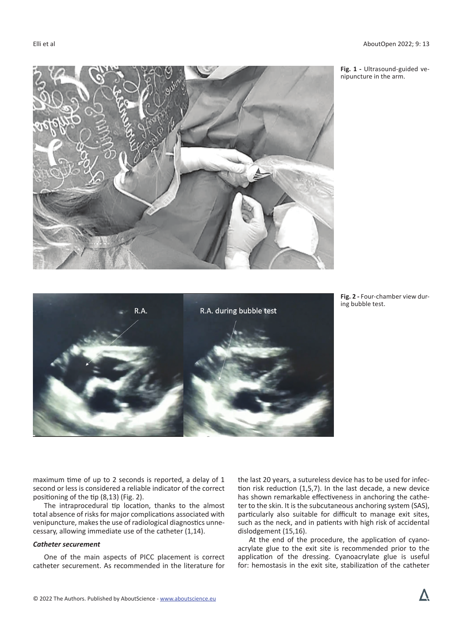

**Fig. 1 -** Ultrasound-guided venipuncture in the arm.





maximum time of up to 2 seconds is reported, a delay of 1 second or less is considered a reliable indicator of the correct positioning of the tip (8,13) (Fig. 2).

The intraprocedural tip location, thanks to the almost total absence of risks for major complications associated with venipuncture, makes the use of radiological diagnostics unnecessary, allowing immediate use of the catheter (1,14).

## *Catheter securement*

One of the main aspects of PICC placement is correct catheter securement. As recommended in the literature for the last 20 years, a sutureless device has to be used for infection risk reduction (1,5,7). In the last decade, a new device has shown remarkable effectiveness in anchoring the catheter to the skin. It is the subcutaneous anchoring system (SAS), particularly also suitable for difficult to manage exit sites, such as the neck, and in patients with high risk of accidental dislodgement (15,16).

At the end of the procedure, the application of cyanoacrylate glue to the exit site is recommended prior to the application of the dressing. Cyanoacrylate glue is useful for: hemostasis in the exit site, stabilization of the catheter